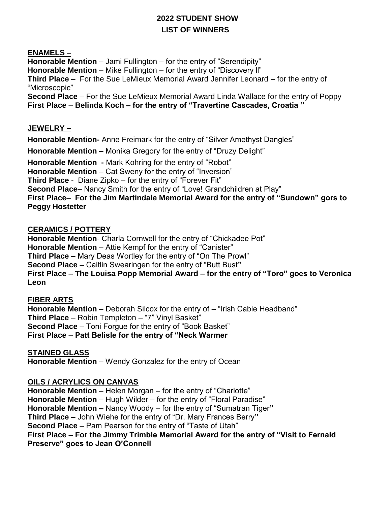# **2022 STUDENT SHOW LIST OF WINNERS**

## **ENAMELS –**

**Honorable Mention** – Jami Fullington – for the entry of "Serendipity" **Honorable Mention** – Mike Fullington – for the entry of "Discovery ll" **Third Place** – For the Sue LeMieux Memorial Award Jennifer Leonard – for the entry of "Microscopic" **Second Place** – For the Sue LeMieux Memorial Award Linda Wallace for the entry of Poppy

**First Place** – **Belinda Koch – for the entry of "Travertine Cascades, Croatia "**

# **JEWELRY –**

**Honorable Mention-** Anne Freimark for the entry of "Silver Amethyst Dangles"

**Honorable Mention –** Monika Gregory for the entry of "Druzy Delight"

**Honorable Mention -** Mark Kohring for the entry of "Robot" **Honorable Mention** – Cat Sweny for the entry of "Inversion" **Third Place** - Diane Zipko – for the entry of "Forever Fit" **Second Place**– Nancy Smith for the entry of "Love! Grandchildren at Play" **First Place**– **For the Jim Martindale Memorial Award for the entry of "Sundown" gors to Peggy Hostetter**

#### **CERAMICS / POTTERY**

**Honorable Mention**- Charla Cornwell for the entry of "Chickadee Pot" **Honorable Mention** – Attie Kempf for the entry of "Canister" **Third Place –** Mary Deas Wortley for the entry of "On The Prowl" **Second Place –** Caitlin Swearingen for the entry of "Butt Bust**" First Place – The Louisa Popp Memorial Award – for the entry of "Toro" goes to Veronica Leon**

## **FIBER ARTS**

**Honorable Mention** – Deborah Silcox for the entry of – "Irish Cable Headband" **Third Place** – Robin Templeton – "7" Vinyl Basket" **Second Place** – Toni Forgue for the entry of "Book Basket" **First Place** – **Patt Belisle for the entry of "Neck Warmer**

**STAINED GLASS Honorable Mention** – Wendy Gonzalez for the entry of Ocean

## **OILS / ACRYLICS ON CANVAS**

**Honorable Mention –** Helen Morgan – for the entry of "Charlotte" **Honorable Mention** – Hugh Wilder – for the entry of "Floral Paradise" **Honorable Mention –** Nancy Woody – for the entry of "Sumatran Tiger**" Third Place –** John Wiehe for the entry of "Dr. Mary Frances Berry**" Second Place –** Pam Pearson for the entry of "Taste of Utah" **First Place – For the Jimmy Trimble Memorial Award for the entry of "Visit to Fernald Preserve" goes to Jean O'Connell**